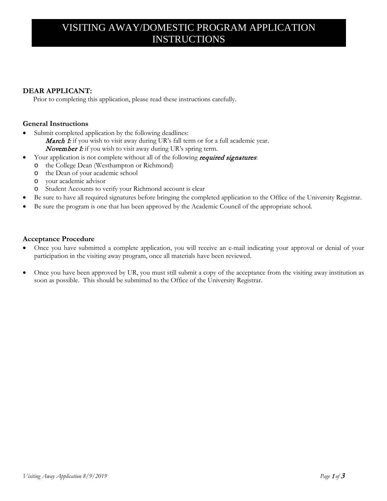## VISITING AWAY/DOMESTIC PROGRAM APPLICATION INSTRUCTIONS

## **DEAR APPLICANT:**

Prior to completing this application, please read these instructions carefully.

## **General Instructions**

- Submit completed application by the following deadlines:
	- **March 1:** if you wish to visit away during UR's fall term or for a full academic year. November 1: if you wish to visit away during UR's spring term.
- Your application is not complete without all of the following *required signatures*:
	- o the College Dean (Westhampton or Richmond)
	- o the Dean of your academic school
	- o your academic advisor
	- o Student Accounts to verify your Richmond account is clear
- Be sure to have all required signatures before bringing the completed application to the Office of the University Registrar.
- Be sure the program is one that has been approved by the Academic Council of the appropriate school.

### **Acceptance Procedure**

- Once you have submitted a complete application, you will receive an e-mail indicating your approval or denial of your participation in the visiting away program, once all materials have been reviewed.
- Once you have been approved by UR, you must still submit a copy of the acceptance from the visiting away institution as soon as possible. This should be submitted to the Office of the University Registrar.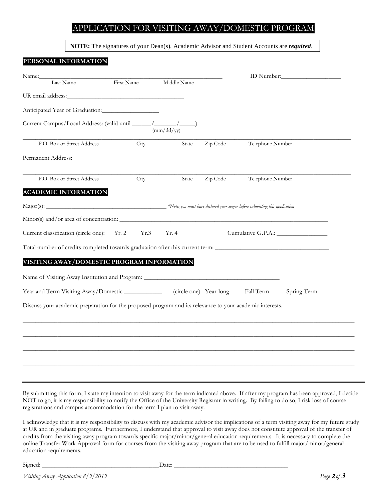## APPLICATION FOR VISITING AWAY/DOMESTIC PROGRAM

**NOTE:** The signatures of your Dean(s), Academic Advisor and Student Accounts are *required*.

# **PERSONAL INFORMATION** Name:\_\_\_\_\_\_\_\_\_\_\_\_\_\_\_\_\_\_\_\_\_\_\_\_\_\_\_\_\_\_\_\_\_\_\_\_\_\_\_\_\_\_\_\_\_\_\_\_\_\_\_\_\_\_\_\_\_\_ ID Number:\_\_\_\_\_\_\_\_\_\_\_\_\_\_\_\_\_\_\_ Middle Name UR email address: Anticipated Year of Graduation:\_\_\_\_\_\_\_\_\_\_\_\_\_\_\_\_\_\_

Current Campus/Local Address: (valid until \_\_\_\_\_\_/\_\_\_\_\_\_\_/\_\_\_\_\_) (mm/dd/yy) \_\_\_\_\_\_\_\_\_\_\_\_\_\_\_\_\_\_\_\_\_\_\_\_\_\_\_\_\_\_\_\_\_\_\_\_\_\_\_\_\_\_\_\_\_\_\_\_\_\_\_\_\_\_\_\_\_\_\_\_\_\_\_\_\_\_\_\_\_\_\_\_\_\_\_\_\_\_\_\_\_\_\_\_\_\_\_\_\_\_\_\_\_\_\_\_\_\_\_\_\_\_\_\_ P.O. Box or Street Address City State Zip Code Telephone Number Permanent Address:

| P.O. Box or Street Address | City | State | Zip Code | Telephone Number |
|----------------------------|------|-------|----------|------------------|
|                            |      |       |          |                  |

#### **ACADEMIC INFORMATION**

| $Major(s)$ :                           | $\ast$ Note: you must have declared your major before submitting this application |
|----------------------------------------|-----------------------------------------------------------------------------------|
| Minor(s) and/or area of concentration: |                                                                                   |

\_\_\_\_\_\_\_\_\_\_\_\_\_\_\_\_\_\_\_\_\_\_\_\_\_\_\_\_\_\_\_\_\_\_\_\_\_\_\_\_\_\_\_\_\_\_\_\_\_\_\_\_\_\_\_\_\_\_\_\_\_\_\_\_\_\_\_\_\_\_\_\_\_\_\_\_\_\_\_\_\_\_\_\_\_\_\_\_\_\_\_\_\_\_\_\_\_\_\_\_\_\_\_\_

| Current classification (circle one): Yr. 2 Yr. 3 Yr. 4 |  | Cumulative G.P.A.: |
|--------------------------------------------------------|--|--------------------|

Total number of credits completed towards graduation after this current term: \_\_\_\_\_\_\_\_\_\_\_\_\_\_\_\_\_\_\_\_\_\_\_\_\_\_\_\_\_\_\_\_\_\_\_\_

### **VISITING AWAY/DOMESTIC PROGRAM INFORMATION**

| Name of Visiting Away Institution and Program: |                        |           |             |
|------------------------------------------------|------------------------|-----------|-------------|
| Year and Term Visiting Away/Domestic           | (circle one) Year-long | Fall Term | Spring Term |

Discuss your academic preparation for the proposed program and its relevance to your academic interests.

| By submitting this form, I state my intention to visit away for the term indicated above. If after my program has been approved, I decide<br>NOT to go, it is my responsibility to notify the Office of the University Registrar in writing. By failing to do so, I risk loss of course |
|-----------------------------------------------------------------------------------------------------------------------------------------------------------------------------------------------------------------------------------------------------------------------------------------|
| registrations and campus accommodation for the term I plan to visit away.                                                                                                                                                                                                               |

\_\_\_\_\_\_\_\_\_\_\_\_\_\_\_\_\_\_\_\_\_\_\_\_\_\_\_\_\_\_\_\_\_\_\_\_\_\_\_\_\_\_\_\_\_\_\_\_\_\_\_\_\_\_\_\_\_\_\_\_\_\_\_\_\_\_\_\_\_\_\_\_\_\_\_\_\_\_\_\_\_\_\_\_\_\_\_\_\_\_\_\_\_\_\_\_\_\_\_\_\_\_\_\_\_

\_\_\_\_\_\_\_\_\_\_\_\_\_\_\_\_\_\_\_\_\_\_\_\_\_\_\_\_\_\_\_\_\_\_\_\_\_\_\_\_\_\_\_\_\_\_\_\_\_\_\_\_\_\_\_\_\_\_\_\_\_\_\_\_\_\_\_\_\_\_\_\_\_\_\_\_\_\_\_\_\_\_\_\_\_\_\_\_\_\_\_\_\_\_\_\_\_\_\_\_\_\_\_\_\_

\_\_\_\_\_\_\_\_\_\_\_\_\_\_\_\_\_\_\_\_\_\_\_\_\_\_\_\_\_\_\_\_\_\_\_\_\_\_\_\_\_\_\_\_\_\_\_\_\_\_\_\_\_\_\_\_\_\_\_\_\_\_\_\_\_\_\_\_\_\_\_\_\_\_\_\_\_\_\_\_\_\_\_\_\_\_\_\_\_\_\_\_\_\_\_\_\_\_\_\_\_\_\_\_\_

\_\_\_\_\_\_\_\_\_\_\_\_\_\_\_\_\_\_\_\_\_\_\_\_\_\_\_\_\_\_\_\_\_\_\_\_\_\_\_\_\_\_\_\_\_\_\_\_\_\_\_\_\_\_\_\_\_\_\_\_\_\_\_\_\_\_\_\_\_\_\_\_\_\_\_\_\_\_\_\_\_\_\_\_\_\_\_\_\_\_\_\_\_\_\_\_\_\_\_\_\_\_\_\_\_

I acknowledge that it is my responsibility to discuss with my academic advisor the implications of a term visiting away for my future study at UR and in graduate programs. Furthermore, I understand that approval to visit away does not constitute approval of the transfer of credits from the visiting away program towards specific major/minor/general education requirements. It is necessary to complete the online Transfer Work Approval form for courses from the visiting away program that are to be used to fulfill major/minor/general education requirements.

Signed: \_\_\_\_\_\_\_\_\_\_\_\_\_\_\_\_\_\_\_\_\_\_\_\_\_\_\_\_\_\_\_\_\_\_\_\_\_Date: \_\_\_\_\_\_\_\_\_\_\_\_\_\_\_\_\_\_\_\_\_\_\_\_\_\_\_\_\_\_\_\_\_\_\_\_